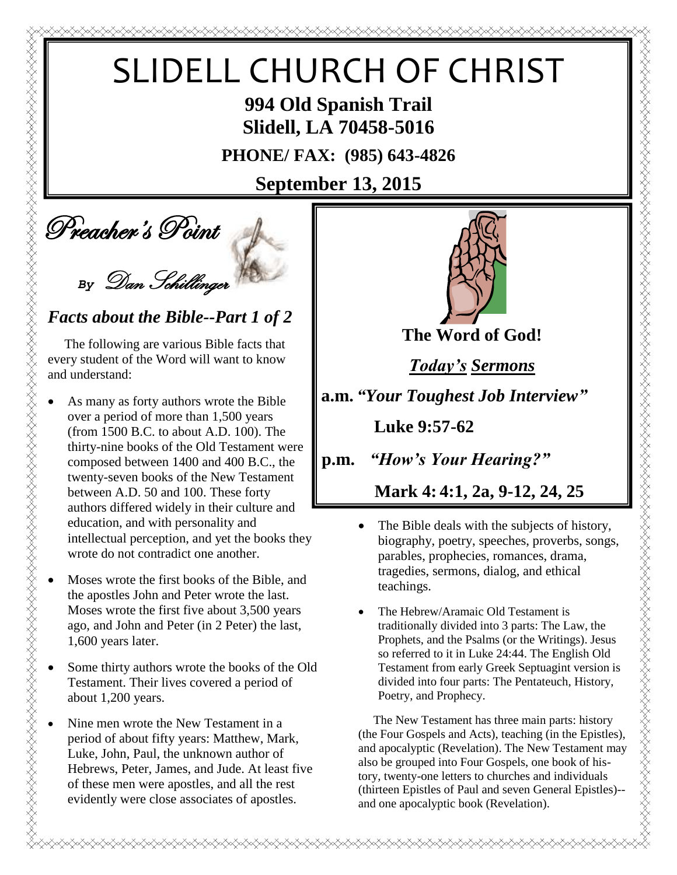# SLIDELL CHURCH OF CHRIST

**994 Old Spanish Trail Slidell, LA 70458-5016**

**PHONE/ FAX: (985) 643-4826**

## **September 13, 2015**



#### *Facts about the Bible--Part 1 of 2*

 The following are various Bible facts that every student of the Word will want to know and understand:

- SLIDEL<br>
SLIDEL<br>
Preacher's Point<br>
By Dum Schillings<br>
Facts about the Bible--F<br>
The following are various Bit<br>
By Dum Schillings<br>
Facts about the Bible--F<br>
The following are various Bit<br>
severy student of the Word will we<br> As many as forty authors wrote the Bible over a period of more than 1,500 years (from 1500 B.C. to about A.D. 100). The thirty-nine books of the Old Testament were composed between 1400 and 400 B.C., the twenty-seven books of the New Testament between A.D. 50 and 100. These forty authors differed widely in their culture and education, and with personality and intellectual perception, and yet the books they wrote do not contradict one another.
	- Moses wrote the first books of the Bible, and the apostles John and Peter wrote the last. Moses wrote the first five about 3,500 years ago, and John and Peter (in 2 Peter) the last, 1,600 years later.
	- Some thirty authors wrote the books of the Old Testament. Their lives covered a period of about 1,200 years.
	- Nine men wrote the New Testament in a period of about fifty years: Matthew, Mark, Luke, John, Paul, the unknown author of Hebrews, Peter, James, and Jude. At least five of these men were apostles, and all the rest evidently were close associates of apostles.



**The Word of God!**

*Today's Sermons*

**a.m.** *"Your Toughest Job Interview"*

 **Luke 9:57-62**

**p.m.** *"How's Your Hearing?"*

 **Mark 4: 4:1, 2a, 9-12, 24, 25**

- The Bible deals with the subjects of history, biography, poetry, speeches, proverbs, songs, parables, prophecies, romances, drama, tragedies, sermons, dialog, and ethical teachings.
- The Hebrew/Aramaic Old Testament is traditionally divided into 3 parts: The Law, the Prophets, and the Psalms (or the Writings). Jesus so referred to it in Luke 24:44. The English Old Testament from early Greek Septuagint version is divided into four parts: The Pentateuch, History, Poetry, and Prophecy.

 The New Testament has three main parts: history (the Four Gospels and Acts), teaching (in the Epistles), and apocalyptic (Revelation). The New Testament may also be grouped into Four Gospels, one book of history, twenty-one letters to churches and individuals (thirteen Epistles of Paul and seven General Epistles)- and one apocalyptic book (Revelation).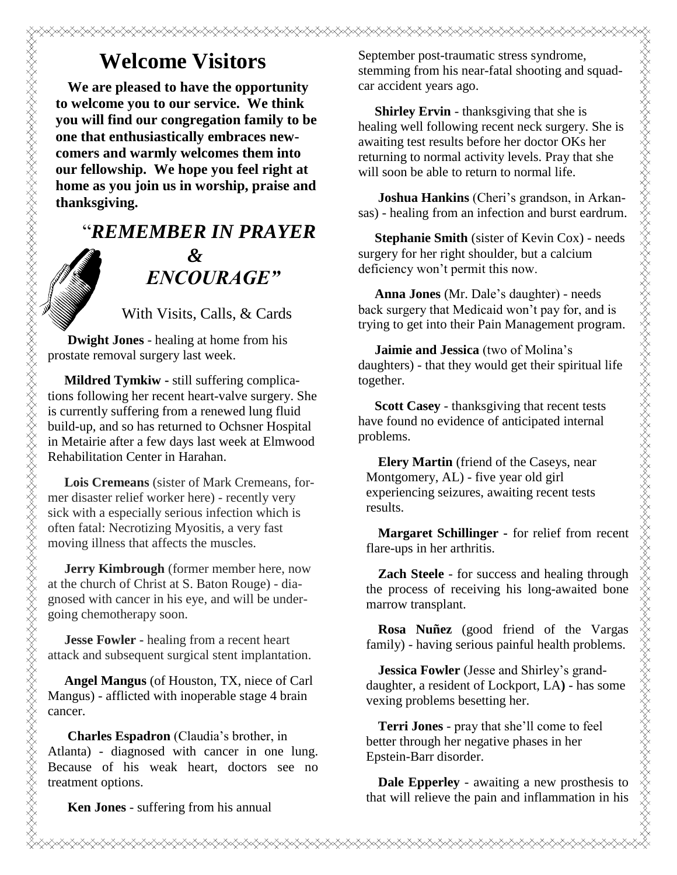## **Welcome Visitors**

**We are pleased to have the opportunity to welcome you to our service. We think you will find our congregation family to be one that enthusiastically embraces newcomers and warmly welcomes them into our fellowship. We hope you feel right at home as you join us in worship, praise and thanksgiving.**

### "*REMEMBER IN PRAYER &* " *ENCOURAGE"*

With Visits, Calls, & Cards

 **Dwight Jones** - healing at home from his prostate removal surgery last week.

 **Mildred Tymkiw -** still suffering complications following her recent heart-valve surgery. She is currently suffering from a renewed lung fluid build-up, and so has returned to Ochsner Hospital in Metairie after a few days last week at Elmwood Rehabilitation Center in Harahan.

 **Lois Cremeans** (sister of Mark Cremeans, former disaster relief worker here) - recently very sick with a especially serious infection which is often fatal: Necrotizing Myositis, a very fast moving illness that affects the muscles.

 **Jerry Kimbrough** (former member here, now at the church of Christ at S. Baton Rouge) - diagnosed with cancer in his eye, and will be undergoing chemotherapy soon.

 **Jesse Fowler -** healing from a recent heart attack and subsequent surgical stent implantation.

 **Angel Mangus** (of Houston, TX, niece of Carl Mangus) - afflicted with inoperable stage 4 brain cancer.

**Charles Espadron** (Claudia's brother, in Atlanta) - diagnosed with cancer in one lung. Because of his weak heart, doctors see no treatment options.

September post-traumatic stress syndrome, stemming from his near-fatal shooting and squadcar accident years ago.

**Shirley Ervin** - thanksgiving that she is healing well following recent neck surgery. She is awaiting test results before her doctor OKs her returning to normal activity levels. Pray that she will soon be able to return to normal life.

 **Joshua Hankins** (Cheri's grandson, in Arkansas) - healing from an infection and burst eardrum.

 **Stephanie Smith** (sister of Kevin Cox) - needs surgery for her right shoulder, but a calcium deficiency won't permit this now.

 **Anna Jones** (Mr. Dale's daughter) - needs back surgery that Medicaid won't pay for, and is trying to get into their Pain Management program.

 **Jaimie and Jessica** (two of Molina's daughters) - that they would get their spiritual life together.

 **Scott Casey** - thanksgiving that recent tests have found no evidence of anticipated internal problems.

**Elery Martin** (friend of the Caseys, near Montgomery, AL) - five year old girl experiencing seizures, awaiting recent tests results.

**Margaret Schillinger -** for relief from recent flare-ups in her arthritis.

**Zach Steele** - for success and healing through the process of receiving his long-awaited bone marrow transplant.

**Rosa Nuñez** (good friend of the Vargas family) - having serious painful health problems.

**Jessica Fowler** (Jesse and Shirley's granddaughter, a resident of Lockport, LA**)** - has some vexing problems besetting her.

**Terri Jones** - pray that she'll come to feel better through her negative phases in her Epstein-Barr disorder.

**Dale Epperley** - awaiting a new prosthesis to that will relieve the pain and inflammation in his

**Ken Jones** - suffering from his annual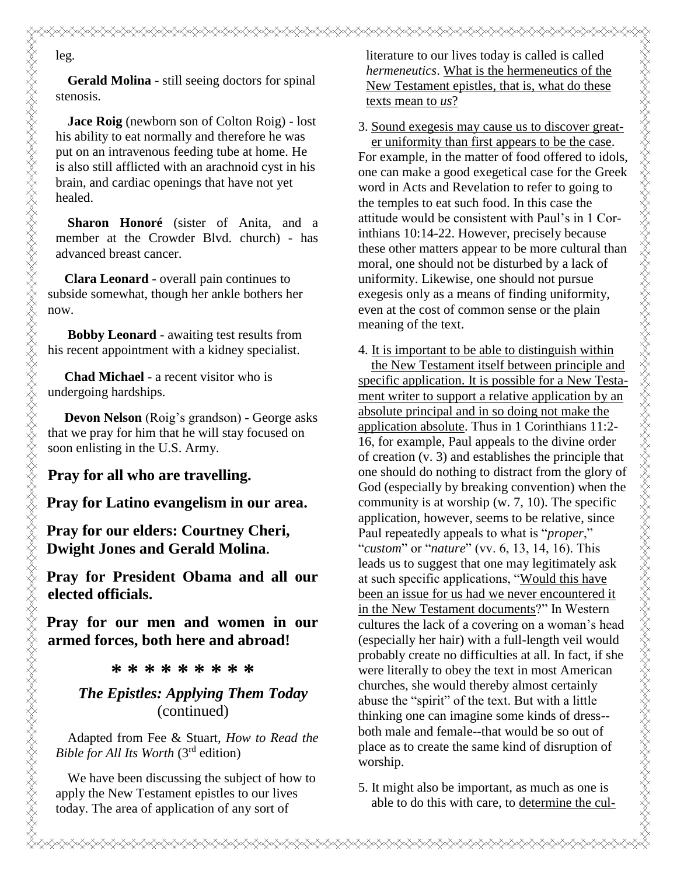**Gerald Molina** - still seeing doctors for spinal stenosis.

**Jace Roig** (newborn son of Colton Roig) - lost his ability to eat normally and therefore he was put on an intravenous feeding tube at home. He is also still afflicted with an arachnoid cyst in his brain, and cardiac openings that have not yet healed.

**Sharon Honoré** (sister of Anita, and a member at the Crowder Blvd. church) - has advanced breast cancer.

 **Clara Leonard** - overall pain continues to subside somewhat, though her ankle bothers her now.

 **Bobby Leonard** - awaiting test results from his recent appointment with a kidney specialist.

 **Chad Michael** - a recent visitor who is undergoing hardships.

 **Devon Nelson** (Roig's grandson) - George asks that we pray for him that he will stay focused on soon enlisting in the U.S. Army.

**Pray for all who are travelling.**

**Pray for Latino evangelism in our area.**

**Pray for our elders: Courtney Cheri, Dwight Jones and Gerald Molina.**

**Pray for President Obama and all our elected officials.**

**Pray for our men and women in our armed forces, both here and abroad!**

**\* \* \* \* \* \* \* \* \***

#### *The Epistles: Applying Them Today* (continued)

Adapted from Fee & Stuart, *How to Read the Bible for All Its Worth* (3rd edition)

We have been discussing the subject of how to apply the New Testament epistles to our lives today. The area of application of any sort of

literature to our lives today is called is called *hermeneutics*. What is the hermeneutics of the New Testament epistles, that is, what do these texts mean to *us*?

3. Sound exegesis may cause us to discover great er uniformity than first appears to be the case. For example, in the matter of food offered to idols, one can make a good exegetical case for the Greek word in Acts and Revelation to refer to going to the temples to eat such food. In this case the attitude would be consistent with Paul's in 1 Corinthians 10:14-22. However, precisely because these other matters appear to be more cultural than moral, one should not be disturbed by a lack of uniformity. Likewise, one should not pursue exegesis only as a means of finding uniformity, even at the cost of common sense or the plain meaning of the text.

4. It is important to be able to distinguish within

 the New Testament itself between principle and specific application. It is possible for a New Testament writer to support a relative application by an absolute principal and in so doing not make the application absolute. Thus in 1 Corinthians 11:2- 16, for example, Paul appeals to the divine order of creation (v. 3) and establishes the principle that one should do nothing to distract from the glory of God (especially by breaking convention) when the community is at worship (w. 7, 10). The specific application, however, seems to be relative, since Paul repeatedly appeals to what is "*proper*," "*custom*" or "*nature*" (vv. 6, 13, 14, 16). This leads us to suggest that one may legitimately ask at such specific applications, "Would this have been an issue for us had we never encountered it in the New Testament documents?" In Western cultures the lack of a covering on a woman's head (especially her hair) with a full-length veil would probably create no difficulties at all. In fact, if she were literally to obey the text in most American churches, she would thereby almost certainly abuse the "spirit" of the text. But with a little thinking one can imagine some kinds of dress- both male and female--that would be so out of place as to create the same kind of disruption of worship.

5. It might also be important, as much as one is able to do this with care, to determine the cul